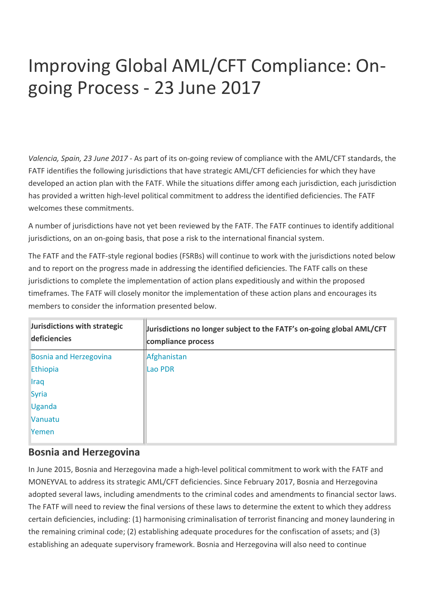# Improving Global AML/CFT Compliance: Ongoing Process - 23 June 2017

*Valencia, Spain, 23 June 2017* - As part of its on-going review of compliance with the AML/CFT standards, the FATF identifies the following jurisdictions that have strategic AML/CFT deficiencies for which they have developed an action plan with the FATF. While the situations differ among each jurisdiction, each jurisdiction has provided a written high-level political commitment to address the identified deficiencies. The FATF welcomes these commitments.

A number of jurisdictions have not yet been reviewed by the FATF. The FATF continues to identify additional jurisdictions, on an on-going basis, that pose a risk to the international financial system.

The FATF and the FATF-style regional bodies (FSRBs) will continue to work with the jurisdictions noted below and to report on the progress made in addressing the identified deficiencies. The FATF calls on these jurisdictions to complete the implementation of action plans expeditiously and within the proposed timeframes. The FATF will closely monitor the implementation of these action plans and encourages its members to consider the information presented below.

| Jurisdictions with strategic<br>deficiencies | Jurisdictions no longer subject to the FATF's on-going global AML/CFT<br>compliance process |
|----------------------------------------------|---------------------------------------------------------------------------------------------|
| <b>Bosnia and Herzegovina</b>                | Afghanistan                                                                                 |
| Ethiopia                                     | Lao PDR                                                                                     |
| <b>Iraq</b>                                  |                                                                                             |
| <b>Syria</b>                                 |                                                                                             |
| <b>Uganda</b>                                |                                                                                             |
| Vanuatu                                      |                                                                                             |
| Yemen                                        |                                                                                             |

#### **Bosnia and Herzegovina**

In June 2015, Bosnia and Herzegovina made a high-level political commitment to work with the FATF and MONEYVAL to address its strategic AML/CFT deficiencies. Since February 2017, Bosnia and Herzegovina adopted several laws, including amendments to the criminal codes and amendments to financial sector laws. The FATF will need to review the final versions of these laws to determine the extent to which they address certain deficiencies, including: (1) harmonising criminalisation of terrorist financing and money laundering in the remaining criminal code; (2) establishing adequate procedures for the confiscation of assets; and (3) establishing an adequate supervisory framework. Bosnia and Herzegovina will also need to continue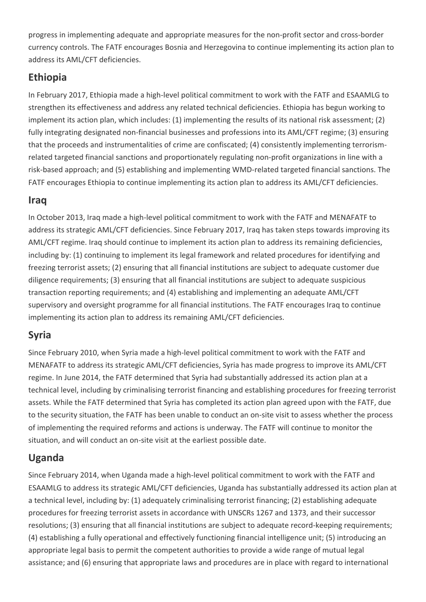progress in implementing adequate and appropriate measures for the non-profit sector and cross-border currency controls. The FATF encourages Bosnia and Herzegovina to continue implementing its action plan to address its AML/CFT deficiencies.

#### **Ethiopia**

In February 2017, Ethiopia made a high-level political commitment to work with the FATF and ESAAMLG to strengthen its effectiveness and address any related technical deficiencies. Ethiopia has begun working to implement its action plan, which includes: (1) implementing the results of its national risk assessment; (2) fully integrating designated non-financial businesses and professions into its AML/CFT regime; (3) ensuring that the proceeds and instrumentalities of crime are confiscated; (4) consistently implementing terrorismrelated targeted financial sanctions and proportionately regulating non-profit organizations in line with a risk-based approach; and (5) establishing and implementing WMD-related targeted financial sanctions. The FATF encourages Ethiopia to continue implementing its action plan to address its AML/CFT deficiencies.

#### **Iraq**

In October 2013, Iraq made a high-level political commitment to work with the FATF and MENAFATF to address its strategic AML/CFT deficiencies. Since February 2017, Iraq has taken steps towards improving its AML/CFT regime. Iraq should continue to implement its action plan to address its remaining deficiencies, including by: (1) continuing to implement its legal framework and related procedures for identifying and freezing terrorist assets; (2) ensuring that all financial institutions are subject to adequate customer due diligence requirements; (3) ensuring that all financial institutions are subject to adequate suspicious transaction reporting requirements; and (4) establishing and implementing an adequate AML/CFT supervisory and oversight programme for all financial institutions. The FATF encourages Iraq to continue implementing its action plan to address its remaining AML/CFT deficiencies.

## **Syria**

Since February 2010, when Syria made a high-level political commitment to work with the FATF and MENAFATF to address its strategic AML/CFT deficiencies, Syria has made progress to improve its AML/CFT regime. In June 2014, the FATF determined that Syria had substantially addressed its action plan at a technical level, including by criminalising terrorist financing and establishing procedures for freezing terrorist assets. While the FATF determined that Syria has completed its action plan agreed upon with the FATF, due to the security situation, the FATF has been unable to conduct an on-site visit to assess whether the process of implementing the required reforms and actions is underway. The FATF will continue to monitor the situation, and will conduct an on-site visit at the earliest possible date.

### **Uganda**

Since February 2014, when Uganda made a high-level political commitment to work with the FATF and ESAAMLG to address its strategic AML/CFT deficiencies, Uganda has substantially addressed its action plan at a technical level, including by: (1) adequately criminalising terrorist financing; (2) establishing adequate procedures for freezing terrorist assets in accordance with UNSCRs 1267 and 1373, and their successor resolutions; (3) ensuring that all financial institutions are subject to adequate record-keeping requirements; (4) establishing a fully operational and effectively functioning financial intelligence unit; (5) introducing an appropriate legal basis to permit the competent authorities to provide a wide range of mutual legal assistance; and (6) ensuring that appropriate laws and procedures are in place with regard to international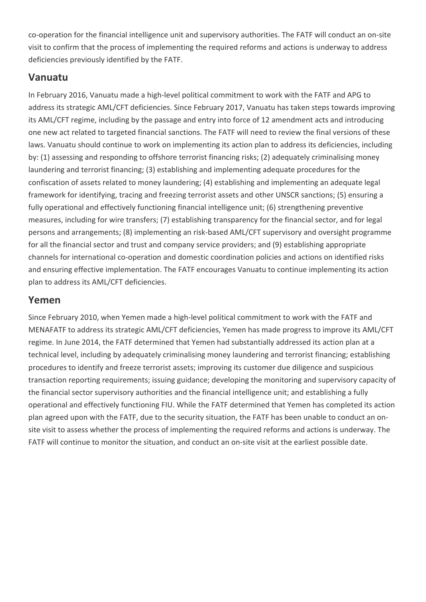co-operation for the financial intelligence unit and supervisory authorities. The FATF will conduct an on-site visit to confirm that the process of implementing the required reforms and actions is underway to address deficiencies previously identified by the FATF.

#### **Vanuatu**

In February 2016, Vanuatu made a high-level political commitment to work with the FATF and APG to address its strategic AML/CFT deficiencies. Since February 2017, Vanuatu has taken steps towards improving its AML/CFT regime, including by the passage and entry into force of 12 amendment acts and introducing one new act related to targeted financial sanctions. The FATF will need to review the final versions of these laws. Vanuatu should continue to work on implementing its action plan to address its deficiencies, including by: (1) assessing and responding to offshore terrorist financing risks; (2) adequately criminalising money laundering and terrorist financing; (3) establishing and implementing adequate procedures for the confiscation of assets related to money laundering; (4) establishing and implementing an adequate legal framework for identifying, tracing and freezing terrorist assets and other UNSCR sanctions; (5) ensuring a fully operational and effectively functioning financial intelligence unit; (6) strengthening preventive measures, including for wire transfers; (7) establishing transparency for the financial sector, and for legal persons and arrangements; (8) implementing an risk-based AML/CFT supervisory and oversight programme for all the financial sector and trust and company service providers; and (9) establishing appropriate channels for international co-operation and domestic coordination policies and actions on identified risks and ensuring effective implementation. The FATF encourages Vanuatu to continue implementing its action plan to address its AML/CFT deficiencies.

#### **Yemen**

Since February 2010, when Yemen made a high-level political commitment to work with the FATF and MENAFATF to address its strategic AML/CFT deficiencies, Yemen has made progress to improve its AML/CFT regime. In June 2014, the FATF determined that Yemen had substantially addressed its action plan at a technical level, including by adequately criminalising money laundering and terrorist financing; establishing procedures to identify and freeze terrorist assets; improving its customer due diligence and suspicious transaction reporting requirements; issuing guidance; developing the monitoring and supervisory capacity of the financial sector supervisory authorities and the financial intelligence unit; and establishing a fully operational and effectively functioning FIU. While the FATF determined that Yemen has completed its action plan agreed upon with the FATF, due to the security situation, the FATF has been unable to conduct an onsite visit to assess whether the process of implementing the required reforms and actions is underway. The FATF will continue to monitor the situation, and conduct an on-site visit at the earliest possible date.